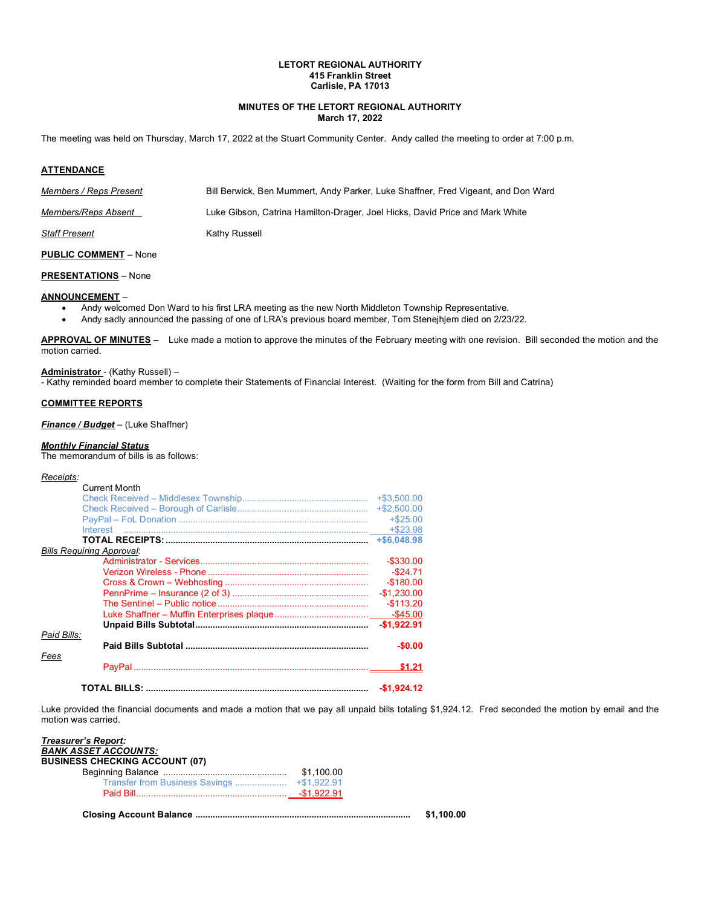# **LETORT REGIONAL AUTHORITY 415 Franklin Street Carlisle, PA 17013**

# **MINUTES OF THE LETORT REGIONAL AUTHORITY March 17, 2022**

The meeting was held on Thursday, March 17, 2022 at the Stuart Community Center. Andy called the meeting to order at 7:00 p.m*.*

#### **ATTENDANCE**

| Members / Reps Present  | Bill Berwick, Ben Mummert, Andy Parker, Luke Shaffner, Fred Vigeant, and Don Ward |
|-------------------------|-----------------------------------------------------------------------------------|
| Members/Reps Absent     | Luke Gibson, Catrina Hamilton-Drager, Joel Hicks, David Price and Mark White      |
| <b>Staff Present</b>    | Kathy Russell                                                                     |
| ___ _ _ _ _ _ _ _ _ _ _ |                                                                                   |

# **PUBLIC COMMENT** – None

## **PRESENTATIONS** – None

## **ANNOUNCEMENT** –

- Andy welcomed Don Ward to his first LRA meeting as the new North Middleton Township Representative.
- Andy sadly announced the passing of one of LRA's previous board member, Tom Stenejhjem died on 2/23/22.

**APPROVAL OF MINUTES –** Luke made a motion to approve the minutes of the February meeting with one revision. Bill seconded the motion and the motion carried.

# **Administrator** - (Kathy Russell) –

- Kathy reminded board member to complete their Statements of Financial Interest. (Waiting for the form from Bill and Catrina)

# **COMMITTEE REPORTS**

# *Finance / Budget* – (Luke Shaffner)

#### *Monthly Financial Status*

The memorandum of bills is as follows:

# *Receipts:*

| <i><b>INGUGINIS.</b></i> | <b>Current Month</b>             |                |
|--------------------------|----------------------------------|----------------|
|                          |                                  | $+$ \$3,500.00 |
|                          |                                  | $+$ \$2,500.00 |
|                          |                                  | $+ $25.00$     |
|                          |                                  | $+ $23.98$     |
|                          |                                  |                |
|                          | <b>Bills Requiring Approval:</b> |                |
|                          |                                  | $-$ \$330.00   |
|                          |                                  | $-$ \$24.71    |
|                          |                                  | $-$180.00$     |
|                          |                                  | $-$1.230.00$   |
|                          |                                  | $-$113.20$     |
|                          |                                  |                |
|                          |                                  | $-$1.922.91$   |
| Paid Bills:              |                                  |                |
|                          |                                  | $-$0.00$       |
| Fees                     |                                  |                |
|                          |                                  | \$1.21         |
|                          |                                  |                |

**TOTAL BILLS: .......................................................................................... -\$1,924.12**

Luke provided the financial documents and made a motion that we pay all unpaid bills totaling \$1,924.12. Fred seconded the motion by email and the motion was carried.

| <b>Treasurer's Report:</b>            |            |
|---------------------------------------|------------|
| <b>BANK ASSET ACCOUNTS:</b>           |            |
| <b>BUSINESS CHECKING ACCOUNT (07)</b> |            |
|                                       |            |
|                                       |            |
|                                       |            |
|                                       | \$1.100.00 |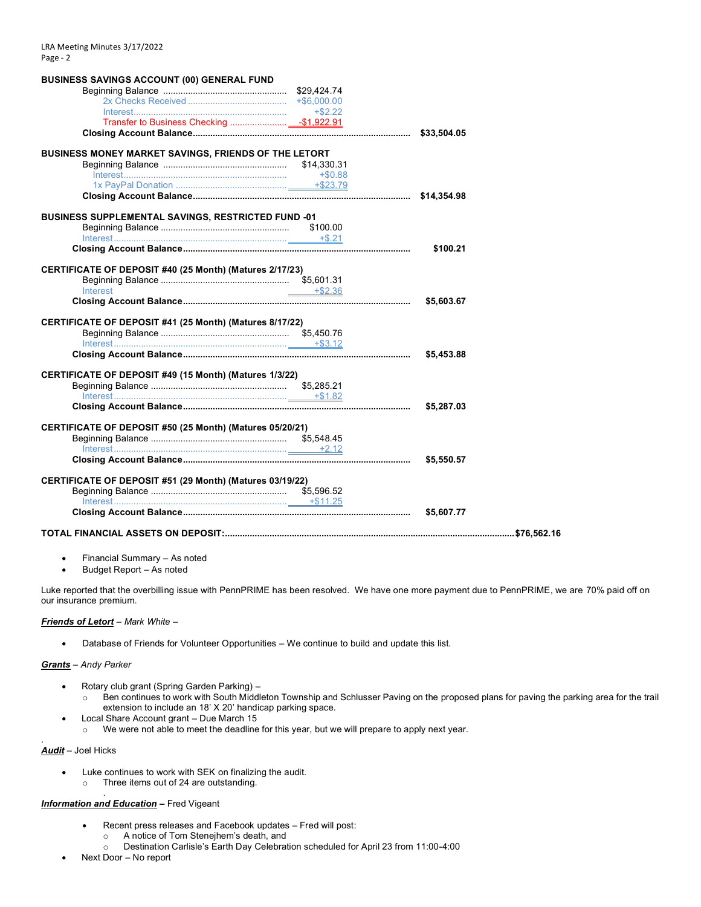| <b>BUSINESS SAVINGS ACCOUNT (00) GENERAL FUND</b>           |           |            |  |
|-------------------------------------------------------------|-----------|------------|--|
|                                                             |           |            |  |
|                                                             |           |            |  |
|                                                             |           |            |  |
|                                                             |           |            |  |
|                                                             |           |            |  |
|                                                             |           |            |  |
| <b>BUSINESS MONEY MARKET SAVINGS, FRIENDS OF THE LETORT</b> |           |            |  |
|                                                             |           |            |  |
|                                                             |           |            |  |
|                                                             |           |            |  |
|                                                             |           |            |  |
| <b>BUSINESS SUPPLEMENTAL SAVINGS, RESTRICTED FUND -01</b>   |           |            |  |
|                                                             |           |            |  |
|                                                             |           |            |  |
|                                                             |           | \$100.21   |  |
|                                                             |           |            |  |
| CERTIFICATE OF DEPOSIT #40 (25 Month) (Matures 2/17/23)     |           |            |  |
|                                                             |           |            |  |
| Interest                                                    | $+ $2.36$ |            |  |
|                                                             |           | \$5,603.67 |  |
|                                                             |           |            |  |
| CERTIFICATE OF DEPOSIT #41 (25 Month) (Matures 8/17/22)     |           |            |  |
|                                                             |           |            |  |
|                                                             |           |            |  |
|                                                             |           | \$5,453.88 |  |
| CERTIFICATE OF DEPOSIT #49 (15 Month) (Matures 1/3/22)      |           |            |  |
|                                                             |           |            |  |
|                                                             |           |            |  |
|                                                             |           | \$5,287.03 |  |
|                                                             |           |            |  |
| CERTIFICATE OF DEPOSIT #50 (25 Month) (Matures 05/20/21)    |           |            |  |
|                                                             |           |            |  |
|                                                             |           |            |  |
|                                                             |           | \$5,550.57 |  |
|                                                             |           |            |  |
| CERTIFICATE OF DEPOSIT #51 (29 Month) (Matures 03/19/22)    |           |            |  |
|                                                             |           |            |  |
|                                                             |           | \$5,607.77 |  |
|                                                             |           |            |  |
|                                                             |           |            |  |
|                                                             |           |            |  |

- Financial Summary As noted
- Budget Report As noted

Luke reported that the overbilling issue with PennPRIME has been resolved. We have one more payment due to PennPRIME, we are 70% paid off on our insurance premium.

#### *Friends of Letort* – *Mark White* –

• Database of Friends for Volunteer Opportunities – We continue to build and update this list.

#### *Grants* – *Andy Parker*

- Rotary club grant (Spring Garden Parking)
	- o Ben continues to work with South Middleton Township and Schlusser Paving on the proposed plans for paving the parking area for the trail extension to include an 18' X 20' handicap parking space.
- Local Share Account grant Due March 15
	- o We were not able to meet the deadline for this year, but we will prepare to apply next year.

*Audit* – Joel Hicks

.

- Luke continues to work with SEK on finalizing the audit.
	- o Three items out of 24 are outstanding.

#### . *Information and Education* **–** Fred Vigeant

- Recent press releases and Facebook updates Fred will post:
	- o A notice of Tom Stenejhem's death, and
	- o Destination Carlisle's Earth Day Celebration scheduled for April 23 from 11:00-4:00
- Next Door No report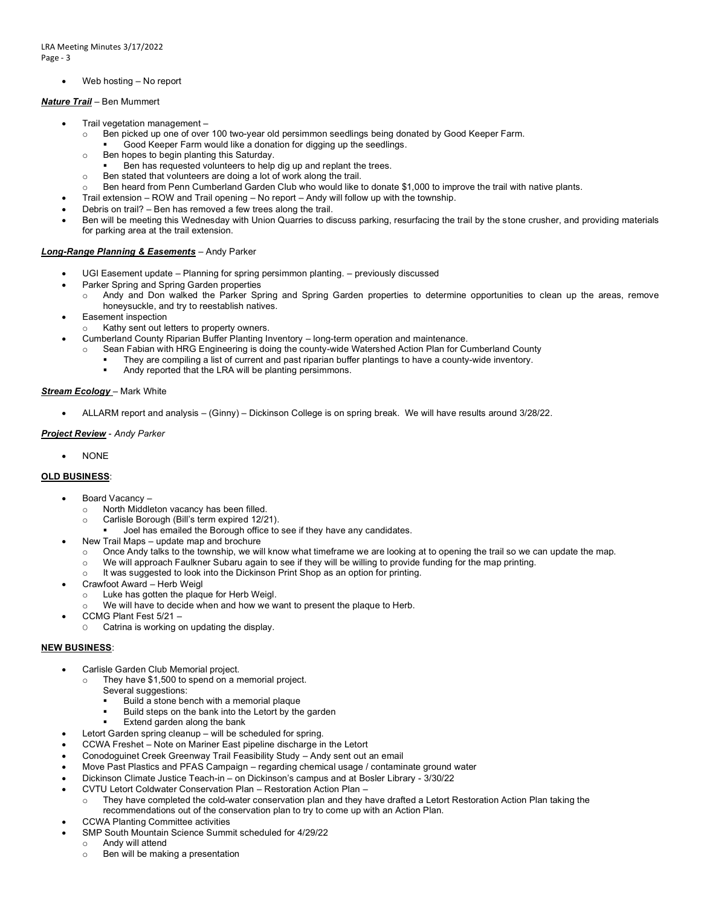Web hosting - No report

# *Nature Trail* – Ben Mummert

- Trail vegetation management
	- o Ben picked up one of over 100 two-year old persimmon seedlings being donated by Good Keeper Farm.
		- Good Keeper Farm would like a donation for digging up the seedlings.
	- o Ben hopes to begin planting this Saturday.
		- Ben has requested volunteers to help dig up and replant the trees.
	- o Ben stated that volunteers are doing a lot of work along the trail.
	- Ben heard from Penn Cumberland Garden Club who would like to donate \$1,000 to improve the trail with native plants.
- Trail extension ROW and Trail opening No report Andy will follow up with the township.
- Debris on trail? Ben has removed a few trees along the trail.
- Ben will be meeting this Wednesday with Union Quarries to discuss parking, resurfacing the trail by the stone crusher, and providing materials for parking area at the trail extension.

# *Long-Range Planning & Easements* – Andy Parker

- UGI Easement update Planning for spring persimmon planting. previously discussed
- Parker Spring and Spring Garden properties
	- Andy and Don walked the Parker Spring and Spring Garden properties to determine opportunities to clean up the areas, remove honeysuckle, and try to reestablish natives.
- Easement inspection
- o Kathy sent out letters to property owners.
- Cumberland County Riparian Buffer Planting Inventory long-term operation and maintenance.
	- Sean Fabian with HRG Engineering is doing the county-wide Watershed Action Plan for Cumberland County
		- They are compiling a list of current and past riparian buffer plantings to have a county-wide inventory.
		- Andy reported that the LRA will be planting persimmons.

# *Stream Ecology* – Mark White

• ALLARM report and analysis – (Ginny) – Dickinson College is on spring break. We will have results around 3/28/22.

#### *Project Review* - *Andy Parker*

• NONE

# **OLD BUSINESS**:

- Board Vacancy
	- o North Middleton vacancy has been filled.
	- o Carlisle Borough (Bill's term expired 12/21).
	- Joel has emailed the Borough office to see if they have any candidates.
	- New Trail Maps update map and brochure
		- o Once Andy talks to the township, we will know what timeframe we are looking at to opening the trail so we can update the map.
		- o We will approach Faulkner Subaru again to see if they will be willing to provide funding for the map printing.
		- It was suggested to look into the Dickinson Print Shop as an option for printing.
- Crawfoot Award Herb Weigl
	- Luke has gotten the plaque for Herb Weigl.
	- o We will have to decide when and how we want to present the plaque to Herb.
- CCMG Plant Fest 5/21
	- O Catrina is working on updating the display.

# **NEW BUSINESS**:

- Carlisle Garden Club Memorial project.
	- o They have \$1,500 to spend on a memorial project.
		- Several suggestions:
			- Build a stone bench with a memorial plaque
			- Build steps on the bank into the Letort by the garden
			- Extend garden along the bank
- Letort Garden spring cleanup will be scheduled for spring.
- CCWA Freshet Note on Mariner East pipeline discharge in the Letort
- Conodoguinet Creek Greenway Trail Feasibility Study Andy sent out an email
- Move Past Plastics and PFAS Campaign regarding chemical usage / contaminate ground water
- Dickinson Climate Justice Teach-in on Dickinson's campus and at Bosler Library 3/30/22
- CVTU Letort Coldwater Conservation Plan Restoration Action Plan
	- o They have completed the cold-water conservation plan and they have drafted a Letort Restoration Action Plan taking the recommendations out of the conservation plan to try to come up with an Action Plan.
- CCWA Planting Committee activities
	- SMP South Mountain Science Summit scheduled for 4/29/22
	- o Andy will attend
		- o Ben will be making a presentation